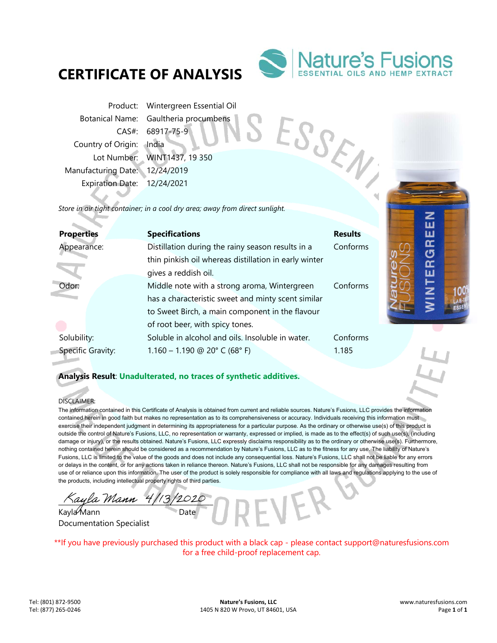# **CERTIFICATE OF ANALYSIS**



ESSEN

Product: Wintergreen Essential Oil Botanical Name: Gaultheria procumbens CAS#: 68917-75-9 Country of Origin: India Lot Number: WINT1437, 19 350 Manufacturing Date: 12/24/2019 Expiration Date: 12/24/2021

*Store in air tight container; in a cool dry area; away from direct sunlight.* 

| <b>Properties</b> | <b>Specifications</b>                                 | <b>Results</b> | ш      |  |
|-------------------|-------------------------------------------------------|----------------|--------|--|
| Appearance:       | Distillation during the rainy season results in a     | Conforms       | ᅂ      |  |
|                   | thin pinkish oil whereas distillation in early winter |                | ෆ<br>œ |  |
|                   | gives a reddish oil.                                  |                | ш      |  |
| Odor:             | Middle note with a strong aroma, Wintergreen          | Conforms       | Z      |  |
|                   | has a characteristic sweet and minty scent similar    |                |        |  |
|                   | to Sweet Birch, a main component in the flavour       |                |        |  |
|                   | of root beer, with spicy tones.                       |                |        |  |
| Solubility:       | Soluble in alcohol and oils. Insoluble in water.      | Conforms       |        |  |
| Specific Gravity: | $1.160 - 1.190$ @ 20° C (68° F)                       | 1.185          |        |  |
|                   |                                                       |                |        |  |

**Analysis Result**: **Unadulterated, no traces of synthetic additives.**

### DISCLAIMER:

The information contained in this Certificate of Analysis is obtained from current and reliable sources. Nature's Fusions, LLC provides the information contained herein in good faith but makes no representation as to its comprehensiveness or accuracy. Individuals receiving this information must exercise their independent judgment in determining its appropriateness for a particular purpose. As the ordinary or otherwise use(s) of this product is outside the control of Nature's Fusions, LLC, no representation or warranty, expressed or implied, is made as to the effect(s) of such use(s), (including damage or injury), or the results obtained. Nature's Fusions, LLC expressly disclaims responsibility as to the ordinary or otherwise use(s). Furthermore, nothing contained herein should be considered as a recommendation by Nature's Fusions, LLC as to the fitness for any use. The liability of Nature's Fusions, LLC is limited to the value of the goods and does not include any consequential loss. Nature's Fusions, LLC shall not be liable for any errors or delays in the content, or for any actions taken in reliance thereon. Nature's Fusions, LLC shall not be responsible for any damages resulting from use of or reliance upon this information. The user of the product is solely responsible for compliance with all laws and regulations applying to the use of the products, including intellectual property rights of third parties.

ayla Mann  $4/13/2$ 

Kayla Mann Documentation Specialist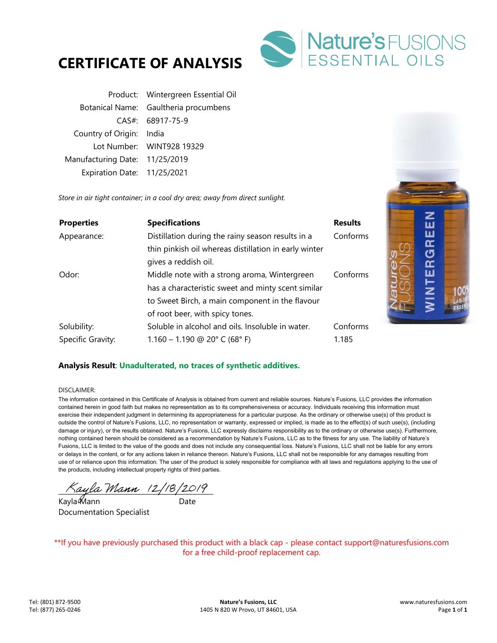



| Product: Wintergreen Essential Oil    |
|---------------------------------------|
| Botanical Name: Gaultheria procumbens |
| CAS#: 68917-75-9                      |
| Country of Origin: India              |
| Lot Number: WINT928 19329             |
| Manufacturing Date: 11/25/2019        |
| Expiration Date: 11/25/2021           |
|                                       |

*Store in air tight container; in a cool dry area; away from direct sunlight.* 

| <b>Properties</b> | <b>Specifications</b>                                 | <b>Results</b> | ш                       |  |
|-------------------|-------------------------------------------------------|----------------|-------------------------|--|
| Appearance:       | Distillation during the rainy season results in a     | Conforms       | ш                       |  |
|                   | thin pinkish oil whereas distillation in early winter |                | Œ                       |  |
|                   | gives a reddish oil.                                  |                | Œ                       |  |
| Odor:             | Middle note with a strong aroma, Wintergreen          | Conforms       | ш                       |  |
|                   | has a characteristic sweet and minty scent similar    |                | $\overline{\mathbf{z}}$ |  |
|                   | to Sweet Birch, a main component in the flavour       |                | $\overline{\mathbf{z}}$ |  |
|                   | of root beer, with spicy tones.                       |                |                         |  |
| Solubility:       | Soluble in alcohol and oils. Insoluble in water.      | Conforms       |                         |  |
| Specific Gravity: | $1.160 - 1.190$ @ 20° C (68° F)                       | 1.185          |                         |  |

## **Analysis Result**: **Unadulterated, no traces of synthetic additives.**

#### DISCLAIMER:

The information contained in this Certificate of Analysis is obtained from current and reliable sources. Nature's Fusions, LLC provides the information contained herein in good faith but makes no representation as to its comprehensiveness or accuracy. Individuals receiving this information must exercise their independent judgment in determining its appropriateness for a particular purpose. As the ordinary or otherwise use(s) of this product is outside the control of Nature's Fusions, LLC, no representation or warranty, expressed or implied, is made as to the effect(s) of such use(s), (including damage or injury), or the results obtained. Nature's Fusions, LLC expressly disclaims responsibility as to the ordinary or otherwise use(s). Furthermore, nothing contained herein should be considered as a recommendation by Nature's Fusions, LLC as to the fitness for any use. The liability of Nature's Fusions, LLC is limited to the value of the goods and does not include any consequential loss. Nature's Fusions, LLC shall not be liable for any errors or delays in the content, or for any actions taken in reliance thereon. Nature's Fusions, LLC shall not be responsible for any damages resulting from use of or reliance upon this information. The user of the product is solely responsible for compliance with all laws and regulations applying to the use of the products, including intellectual property rights of third parties.

 $\land$ ayla Mann (2/18/2019)

Kayla*i* Mann Date Documentation Specialist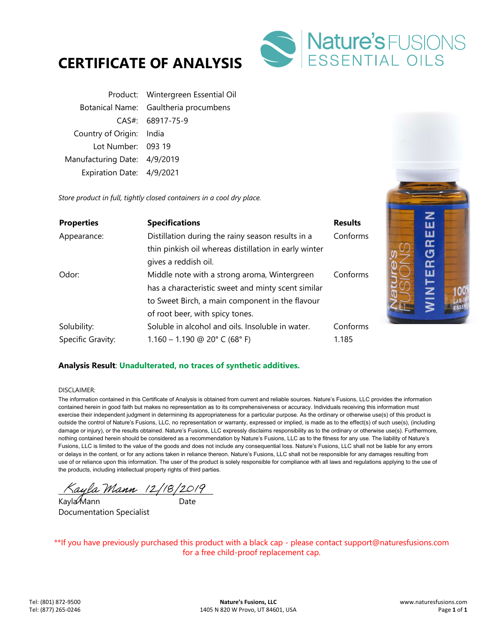



|                              | Product: Wintergreen Essential Oil    |
|------------------------------|---------------------------------------|
|                              | Botanical Name: Gaultheria procumbens |
|                              | CAS#: 68917-75-9                      |
| Country of Origin: India     |                                       |
| Lot Number: 093 19           |                                       |
| Manufacturing Date: 4/9/2019 |                                       |
| Expiration Date: 4/9/2021    |                                       |

*Store product in full, tightly closed containers in a cool dry place.* 

| <b>Properties</b> | <b>Specifications</b>                                 | <b>Results</b> | ш                  |  |
|-------------------|-------------------------------------------------------|----------------|--------------------|--|
| Appearance:       | Distillation during the rainy season results in a     | Conforms       | ш                  |  |
|                   | thin pinkish oil whereas distillation in early winter |                | <b>GR</b>          |  |
|                   | gives a reddish oil.                                  |                | $\bar{\mathbf{r}}$ |  |
| Odor:             | Middle note with a strong aroma, Wintergreen          | Conforms       | ш                  |  |
|                   | has a characteristic sweet and minty scent similar    |                |                    |  |
|                   | to Sweet Birch, a main component in the flavour       |                | <b>HZIN</b>        |  |
|                   | of root beer, with spicy tones.                       |                |                    |  |
| Solubility:       | Soluble in alcohol and oils. Insoluble in water.      | Conforms       |                    |  |
| Specific Gravity: | $1.160 - 1.190$ @ 20° C (68° F)                       | 1.185          |                    |  |

## **Analysis Result**: **Unadulterated, no traces of synthetic additives.**

#### DISCLAIMER:

The information contained in this Certificate of Analysis is obtained from current and reliable sources. Nature's Fusions, LLC provides the information contained herein in good faith but makes no representation as to its comprehensiveness or accuracy. Individuals receiving this information must exercise their independent judgment in determining its appropriateness for a particular purpose. As the ordinary or otherwise use(s) of this product is outside the control of Nature's Fusions, LLC, no representation or warranty, expressed or implied, is made as to the effect(s) of such use(s), (including damage or injury), or the results obtained. Nature's Fusions, LLC expressly disclaims responsibility as to the ordinary or otherwise use(s). Furthermore, nothing contained herein should be considered as a recommendation by Nature's Fusions, LLC as to the fitness for any use. The liability of Nature's Fusions, LLC is limited to the value of the goods and does not include any consequential loss. Nature's Fusions, LLC shall not be liable for any errors or delays in the content, or for any actions taken in reliance thereon. Nature's Fusions, LLC shall not be responsible for any damages resulting from use of or reliance upon this information. The user of the product is solely responsible for compliance with all laws and regulations applying to the use of the products, including intellectual property rights of third parties.

 $\wedge$ ayla Mann (2/18/2019)

Kayla Mann ann an Date Documentation Specialist